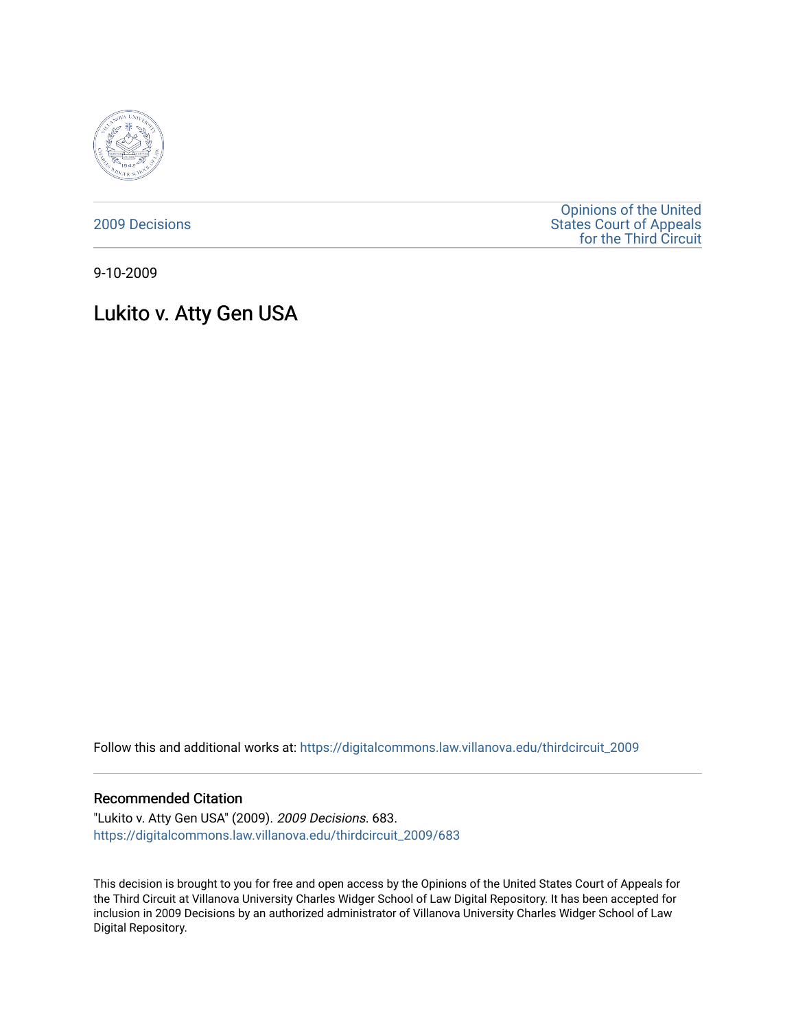

[2009 Decisions](https://digitalcommons.law.villanova.edu/thirdcircuit_2009)

[Opinions of the United](https://digitalcommons.law.villanova.edu/thirdcircuit)  [States Court of Appeals](https://digitalcommons.law.villanova.edu/thirdcircuit)  [for the Third Circuit](https://digitalcommons.law.villanova.edu/thirdcircuit) 

9-10-2009

# Lukito v. Atty Gen USA

Follow this and additional works at: [https://digitalcommons.law.villanova.edu/thirdcircuit\\_2009](https://digitalcommons.law.villanova.edu/thirdcircuit_2009?utm_source=digitalcommons.law.villanova.edu%2Fthirdcircuit_2009%2F683&utm_medium=PDF&utm_campaign=PDFCoverPages) 

#### Recommended Citation

"Lukito v. Atty Gen USA" (2009). 2009 Decisions. 683. [https://digitalcommons.law.villanova.edu/thirdcircuit\\_2009/683](https://digitalcommons.law.villanova.edu/thirdcircuit_2009/683?utm_source=digitalcommons.law.villanova.edu%2Fthirdcircuit_2009%2F683&utm_medium=PDF&utm_campaign=PDFCoverPages)

This decision is brought to you for free and open access by the Opinions of the United States Court of Appeals for the Third Circuit at Villanova University Charles Widger School of Law Digital Repository. It has been accepted for inclusion in 2009 Decisions by an authorized administrator of Villanova University Charles Widger School of Law Digital Repository.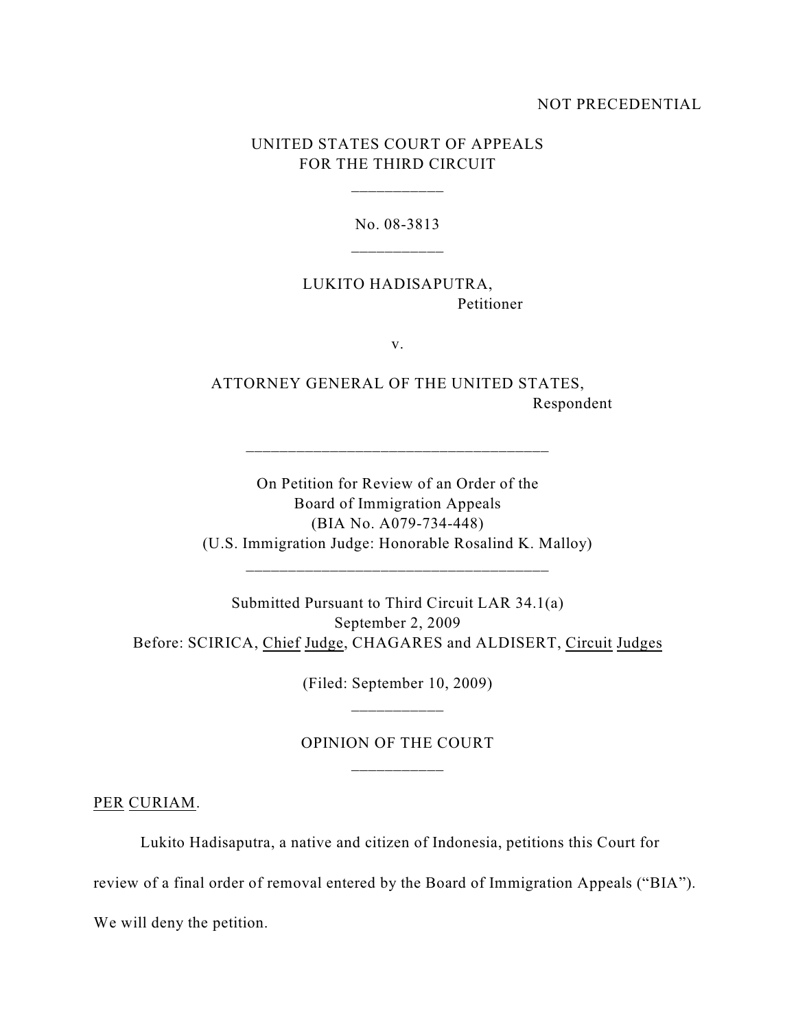#### NOT PRECEDENTIAL

### UNITED STATES COURT OF APPEALS FOR THE THIRD CIRCUIT

\_\_\_\_\_\_\_\_\_\_\_

No. 08-3813

LUKITO HADISAPUTRA, Petitioner

v.

ATTORNEY GENERAL OF THE UNITED STATES, Respondent

On Petition for Review of an Order of the Board of Immigration Appeals (BIA No. A079-734-448) (U.S. Immigration Judge: Honorable Rosalind K. Malloy)

\_\_\_\_\_\_\_\_\_\_\_\_\_\_\_\_\_\_\_\_\_\_\_\_\_\_\_\_\_\_\_\_\_\_\_\_

\_\_\_\_\_\_\_\_\_\_\_\_\_\_\_\_\_\_\_\_\_\_\_\_\_\_\_\_\_\_\_\_\_\_\_\_

Submitted Pursuant to Third Circuit LAR 34.1(a) September 2, 2009 Before: SCIRICA, Chief Judge, CHAGARES and ALDISERT, Circuit Judges

> (Filed: September 10, 2009) \_\_\_\_\_\_\_\_\_\_\_

## OPINION OF THE COURT \_\_\_\_\_\_\_\_\_\_\_

PER CURIAM.

Lukito Hadisaputra, a native and citizen of Indonesia, petitions this Court for

review of a final order of removal entered by the Board of Immigration Appeals ("BIA").

We will deny the petition.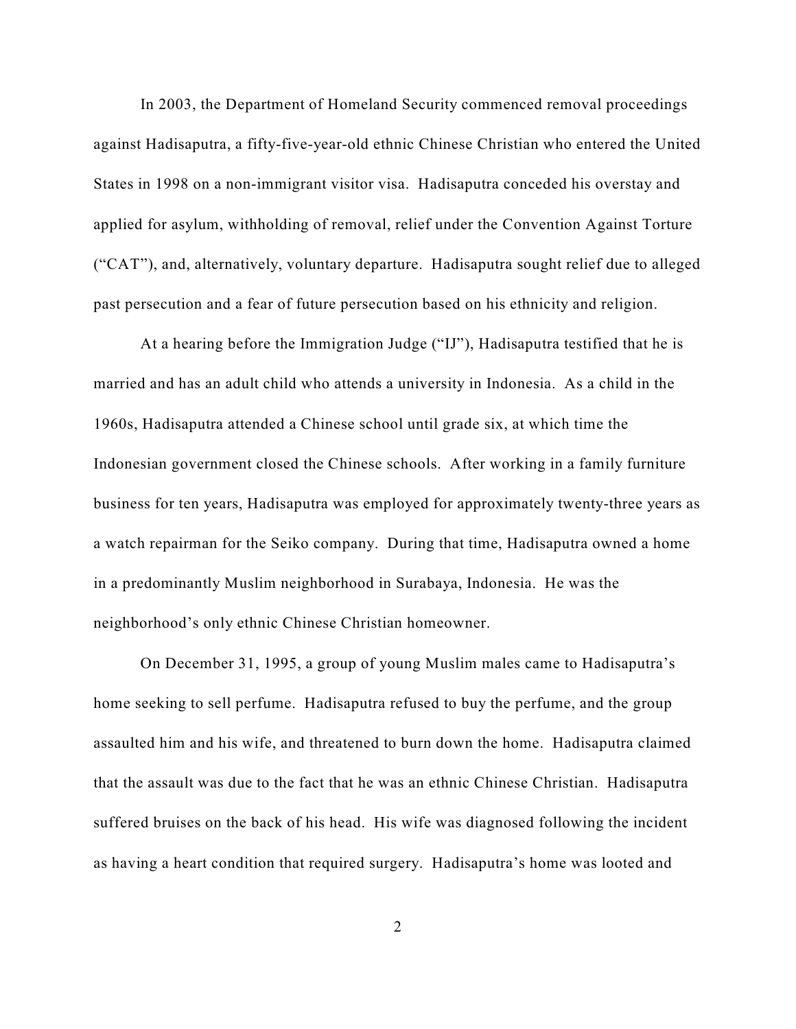In 2003, the Department of Homeland Security commenced removal proceedings against Hadisaputra, a fifty-five-year-old ethnic Chinese Christian who entered the United States in 1998 on a non-immigrant visitor visa. Hadisaputra conceded his overstay and applied for asylum, withholding of removal, relief under the Convention Against Torture ("CAT"), and, alternatively, voluntary departure. Hadisaputra sought relief due to alleged past persecution and a fear of future persecution based on his ethnicity and religion.

At a hearing before the Immigration Judge ("IJ"), Hadisaputra testified that he is married and has an adult child who attends a university in Indonesia. As a child in the 1960s, Hadisaputra attended a Chinese school until grade six, at which time the Indonesian government closed the Chinese schools. After working in a family furniture business for ten years, Hadisaputra was employed for approximately twenty-three years as a watch repairman for the Seiko company. During that time, Hadisaputra owned a home in a predominantly Muslim neighborhood in Surabaya, Indonesia. He was the neighborhood's only ethnic Chinese Christian homeowner.

On December 31, 1995, a group of young Muslim males came to Hadisaputra's home seeking to sell perfume. Hadisaputra refused to buy the perfume, and the group assaulted him and his wife, and threatened to burn down the home. Hadisaputra claimed that the assault was due to the fact that he was an ethnic Chinese Christian. Hadisaputra suffered bruises on the back of his head. His wife was diagnosed following the incident as having a heart condition that required surgery. Hadisaputra's home was looted and

2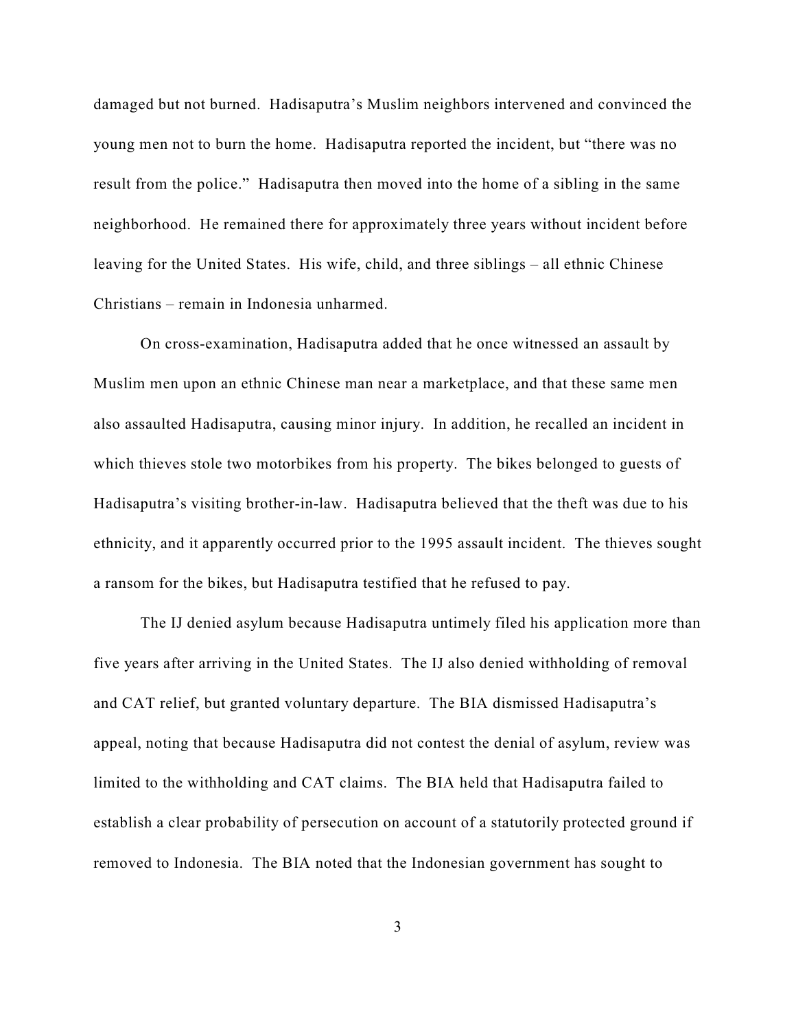damaged but not burned. Hadisaputra's Muslim neighbors intervened and convinced the young men not to burn the home. Hadisaputra reported the incident, but "there was no result from the police." Hadisaputra then moved into the home of a sibling in the same neighborhood. He remained there for approximately three years without incident before leaving for the United States. His wife, child, and three siblings – all ethnic Chinese Christians – remain in Indonesia unharmed.

On cross-examination, Hadisaputra added that he once witnessed an assault by Muslim men upon an ethnic Chinese man near a marketplace, and that these same men also assaulted Hadisaputra, causing minor injury. In addition, he recalled an incident in which thieves stole two motorbikes from his property. The bikes belonged to guests of Hadisaputra's visiting brother-in-law. Hadisaputra believed that the theft was due to his ethnicity, and it apparently occurred prior to the 1995 assault incident. The thieves sought a ransom for the bikes, but Hadisaputra testified that he refused to pay.

The IJ denied asylum because Hadisaputra untimely filed his application more than five years after arriving in the United States. The IJ also denied withholding of removal and CAT relief, but granted voluntary departure. The BIA dismissed Hadisaputra's appeal, noting that because Hadisaputra did not contest the denial of asylum, review was limited to the withholding and CAT claims. The BIA held that Hadisaputra failed to establish a clear probability of persecution on account of a statutorily protected ground if removed to Indonesia. The BIA noted that the Indonesian government has sought to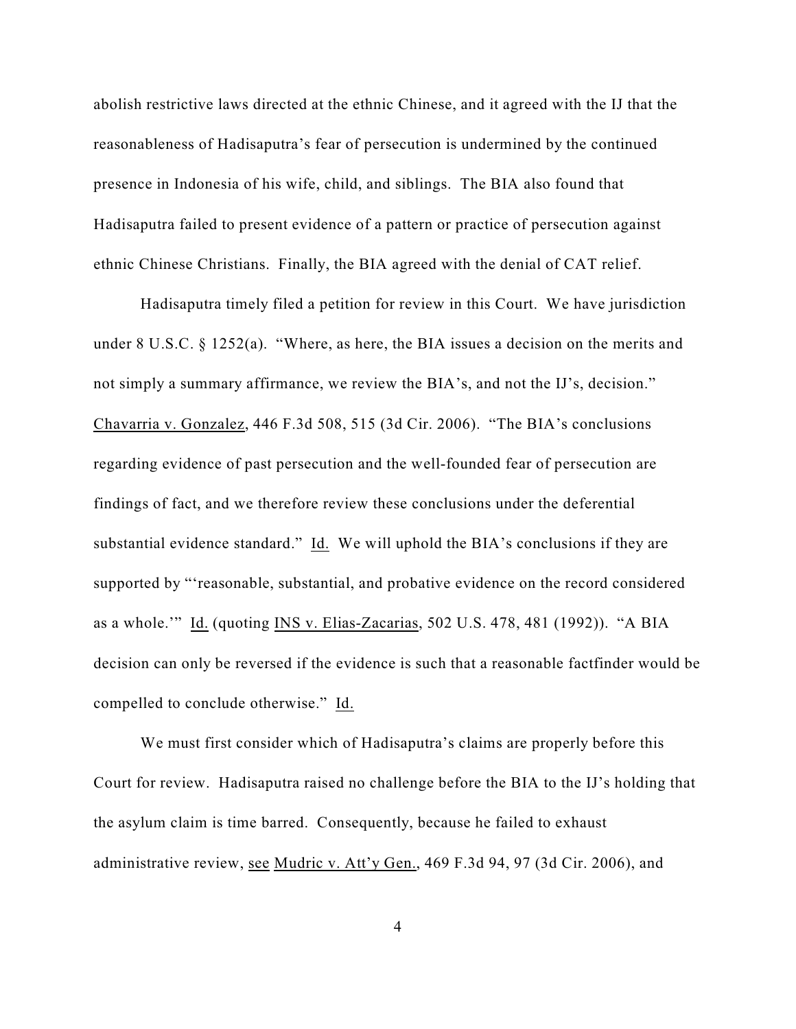abolish restrictive laws directed at the ethnic Chinese, and it agreed with the IJ that the reasonableness of Hadisaputra's fear of persecution is undermined by the continued presence in Indonesia of his wife, child, and siblings. The BIA also found that Hadisaputra failed to present evidence of a pattern or practice of persecution against ethnic Chinese Christians. Finally, the BIA agreed with the denial of CAT relief.

Hadisaputra timely filed a petition for review in this Court. We have jurisdiction under 8 U.S.C. § 1252(a). "Where, as here, the BIA issues a decision on the merits and not simply a summary affirmance, we review the BIA's, and not the IJ's, decision." Chavarria v. Gonzalez, 446 F.3d 508, 515 (3d Cir. 2006). "The BIA's conclusions regarding evidence of past persecution and the well-founded fear of persecution are findings of fact, and we therefore review these conclusions under the deferential substantial evidence standard." Id. We will uphold the BIA's conclusions if they are supported by "'reasonable, substantial, and probative evidence on the record considered as a whole.'" Id. (quoting INS v. Elias-Zacarias, 502 U.S. 478, 481 (1992)). "A BIA decision can only be reversed if the evidence is such that a reasonable factfinder would be compelled to conclude otherwise." Id.

We must first consider which of Hadisaputra's claims are properly before this Court for review. Hadisaputra raised no challenge before the BIA to the IJ's holding that the asylum claim is time barred. Consequently, because he failed to exhaust administrative review, see Mudric v. Att'y Gen., 469 F.3d 94, 97 (3d Cir. 2006), and

4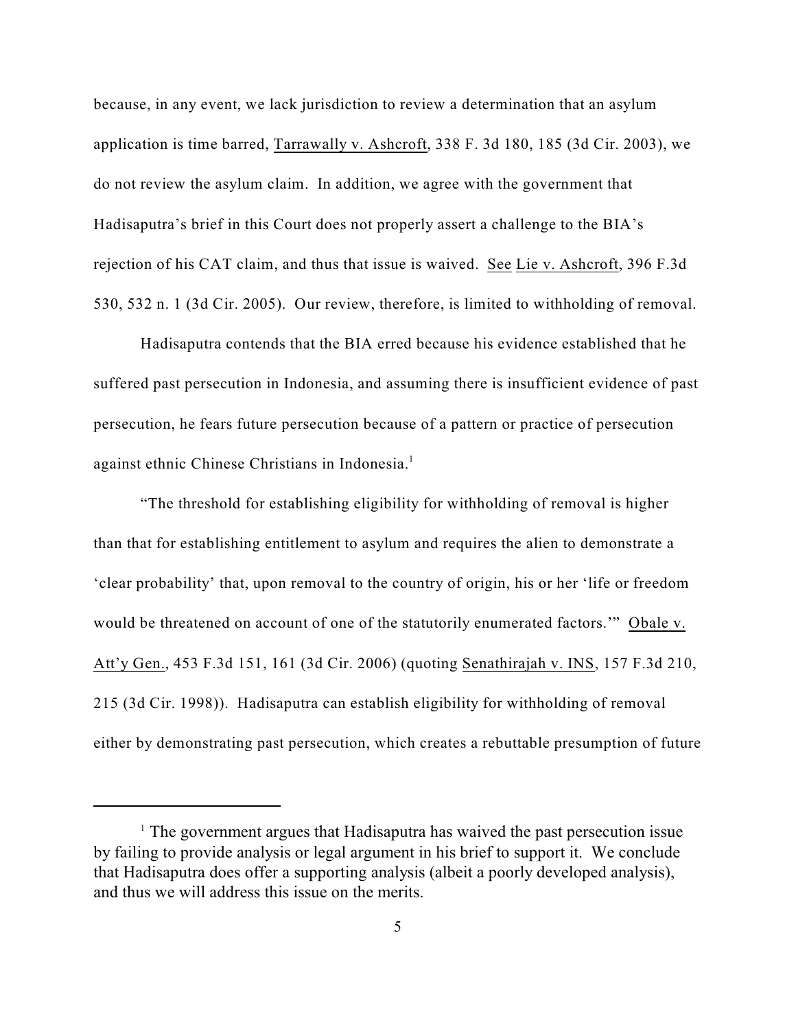because, in any event, we lack jurisdiction to review a determination that an asylum application is time barred, Tarrawally v. Ashcroft, 338 F. 3d 180, 185 (3d Cir. 2003), we do not review the asylum claim. In addition, we agree with the government that Hadisaputra's brief in this Court does not properly assert a challenge to the BIA's rejection of his CAT claim, and thus that issue is waived. See Lie v. Ashcroft, 396 F.3d 530, 532 n. 1 (3d Cir. 2005). Our review, therefore, is limited to withholding of removal.

Hadisaputra contends that the BIA erred because his evidence established that he suffered past persecution in Indonesia, and assuming there is insufficient evidence of past persecution, he fears future persecution because of a pattern or practice of persecution against ethnic Chinese Christians in Indonesia.<sup>1</sup>

"The threshold for establishing eligibility for withholding of removal is higher than that for establishing entitlement to asylum and requires the alien to demonstrate a 'clear probability' that, upon removal to the country of origin, his or her 'life or freedom would be threatened on account of one of the statutorily enumerated factors.'" Obale v. Att'y Gen., 453 F.3d 151, 161 (3d Cir. 2006) (quoting Senathirajah v. INS, 157 F.3d 210, 215 (3d Cir. 1998)). Hadisaputra can establish eligibility for withholding of removal either by demonstrating past persecution, which creates a rebuttable presumption of future

 $\frac{1}{1}$  The government argues that Hadisaputra has waived the past persecution issue by failing to provide analysis or legal argument in his brief to support it. We conclude that Hadisaputra does offer a supporting analysis (albeit a poorly developed analysis), and thus we will address this issue on the merits.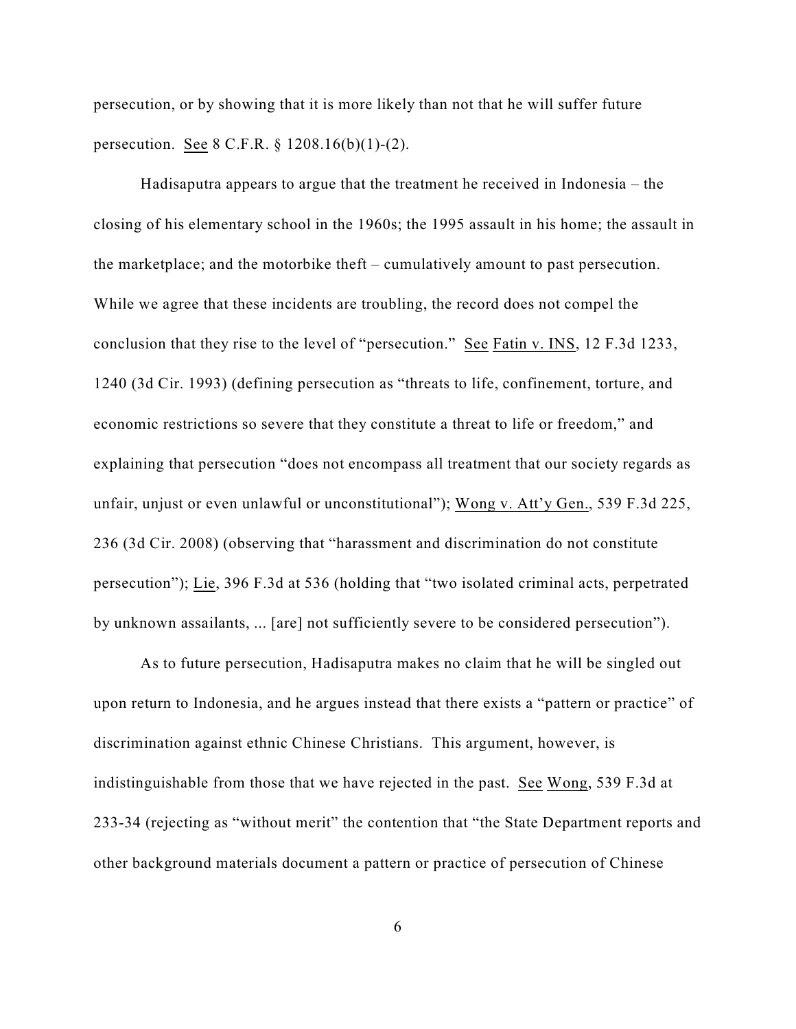persecution, or by showing that it is more likely than not that he will suffer future persecution. See 8 C.F.R. § 1208.16(b)(1)-(2).

Hadisaputra appears to argue that the treatment he received in Indonesia – the closing of his elementary school in the 1960s; the 1995 assault in his home; the assault in the marketplace; and the motorbike theft – cumulatively amount to past persecution. While we agree that these incidents are troubling, the record does not compel the conclusion that they rise to the level of "persecution." See Fatin v. INS, 12 F.3d 1233, 1240 (3d Cir. 1993) (defining persecution as "threats to life, confinement, torture, and economic restrictions so severe that they constitute a threat to life or freedom," and explaining that persecution "does not encompass all treatment that our society regards as unfair, unjust or even unlawful or unconstitutional"); Wong v. Att'y Gen., 539 F.3d 225, 236 (3d Cir. 2008) (observing that "harassment and discrimination do not constitute persecution"); Lie, 396 F.3d at 536 (holding that "two isolated criminal acts, perpetrated by unknown assailants, ... [are] not sufficiently severe to be considered persecution").

As to future persecution, Hadisaputra makes no claim that he will be singled out upon return to Indonesia, and he argues instead that there exists a "pattern or practice" of discrimination against ethnic Chinese Christians. This argument, however, is indistinguishable from those that we have rejected in the past. See Wong, 539 F.3d at 233-34 (rejecting as "without merit" the contention that "the State Department reports and other background materials document a pattern or practice of persecution of Chinese

6